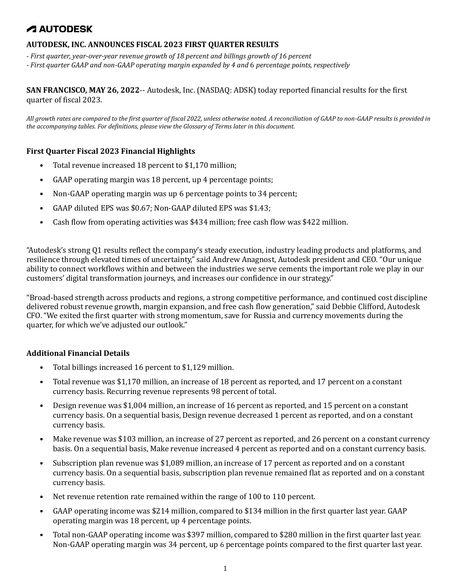#### **AUTODESK, INC. ANNOUNCES FISCAL 2023 FIRST QUARTER RESULTS**

- *- First quarter, year-over-year revenue growth of 18 percent and billings growth of 16 percent*
- *- First quarter GAAP and non-GAAP operating margin expanded by 4 and* 6 *percentage points, respectively*

**SAN FRANCISCO, MAY 26, 2022**-- Autodesk, Inc. (NASDAQ: ADSK) today reported financial results for the first quarter of fiscal 2023.

*All growth rates are compared to the first quarter of fiscal 2022, unless otherwise noted. A reconciliation of GAAP to non-GAAP results is provided in the accompanying tables. For definitions, please view the Glossary of Terms later in this document.*

#### **First Quarter Fiscal 2023 Financial Highlights**

- Total revenue increased 18 percent to \$1,170 million;
- GAAP operating margin was 18 percent, up 4 percentage points;
- Non-GAAP operating margin was up 6 percentage points to 34 percent;
- GAAP diluted EPS was \$0.67; Non-GAAP diluted EPS was \$1.43;
- Cash flow from operating activities was \$434 million; free cash flow was \$422 million.

"Autodesk's strong Q1 results reflect the company's steady execution, industry leading products and platforms, and resilience through elevated times of uncertainty," said Andrew Anagnost, Autodesk president and CEO. "Our unique ability to connect workflows within and between the industries we serve cements the important role we play in our customers' digital transformation journeys, and increases our confidence in our strategy."

"Broad-based strength across products and regions, a strong competitive performance, and continued cost discipline delivered robust revenue growth, margin expansion, and free cash flow generation," said Debbie Clifford, Autodesk CFO. "We exited the first quarter with strong momentum, save for Russia and currency movements during the quarter, for which we've adjusted our outlook."

#### **Additional Financial Details**

- Total billings increased 16 percent to \$1,129 million.
- Total revenue was \$1,170 million, an increase of 18 percent as reported, and 17 percent on a constant currency basis. Recurring revenue represents 98 percent of total.
- Design revenue was \$1,004 million, an increase of 16 percent as reported, and 15 percent on a constant currency basis. On a sequential basis, Design revenue decreased 1 percent as reported, and on a constant currency basis.
- Make revenue was \$103 million, an increase of 27 percent as reported, and 26 percent on a constant currency basis. On a sequential basis, Make revenue increased 4 percent as reported and on a constant currency basis.
- Subscription plan revenue was \$1,089 million, an increase of 17 percent as reported and on a constant currency basis. On a sequential basis, subscription plan revenue remained flat as reported and on a constant currency basis.
- Net revenue retention rate remained within the range of 100 to 110 percent.
- GAAP operating income was \$214 million, compared to \$134 million in the first quarter last year. GAAP operating margin was 18 percent, up 4 percentage points.
- Total non-GAAP operating income was \$397 million, compared to \$280 million in the first quarter last year. Non-GAAP operating margin was 34 percent, up 6 percentage points compared to the first quarter last year.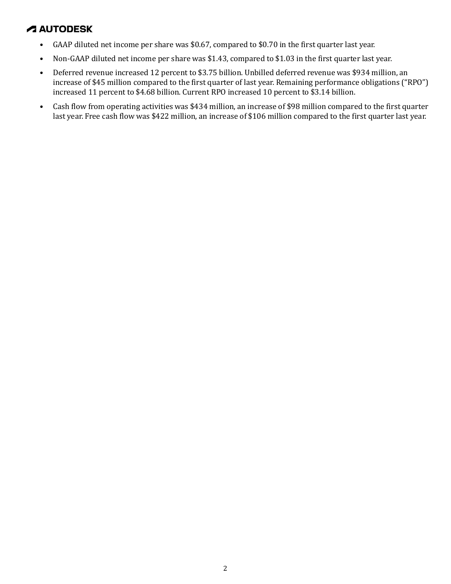- GAAP diluted net income per share was \$0.67, compared to \$0.70 in the first quarter last year.
- Non-GAAP diluted net income per share was \$1.43, compared to \$1.03 in the first quarter last year.
- Deferred revenue increased 12 percent to \$3.75 billion. Unbilled deferred revenue was \$934 million, an increase of \$45 million compared to the first quarter of last year. Remaining performance obligations ("RPO") increased 11 percent to \$4.68 billion. Current RPO increased 10 percent to \$3.14 billion.
- Cash flow from operating activities was \$434 million, an increase of \$98 million compared to the first quarter last year. Free cash flow was \$422 million, an increase of \$106 million compared to the first quarter last year.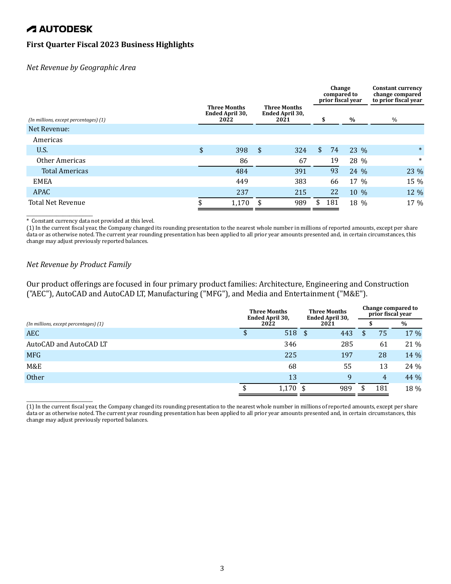### **First Quarter Fiscal 2023 Business Highlights**

*Net Revenue by Geographic Area* 

|                                       |                                                |                                                |     |              | Change<br>compared to | prior fiscal year | <b>Constant currency</b><br>change compared<br>to prior fiscal year |
|---------------------------------------|------------------------------------------------|------------------------------------------------|-----|--------------|-----------------------|-------------------|---------------------------------------------------------------------|
| (In millions, except percentages) (1) | <b>Three Months</b><br>Ended April 30,<br>2022 | <b>Three Months</b><br>Ended April 30,<br>2021 |     | \$           |                       | $\%$              | $\%$                                                                |
| Net Revenue:                          |                                                |                                                |     |              |                       |                   |                                                                     |
| Americas                              |                                                |                                                |     |              |                       |                   |                                                                     |
| U.S.                                  | \$<br>398                                      | \$                                             | 324 | $\mathbf{S}$ | 74                    | 23 %              | $\ast$                                                              |
| Other Americas                        | 86                                             |                                                | 67  |              | 19                    | 28 %              | $\ast$                                                              |
| <b>Total Americas</b>                 | 484                                            |                                                | 391 |              | 93                    | 24 %              | 23 %                                                                |
| <b>EMEA</b>                           | 449                                            |                                                | 383 |              | 66                    | 17 %              | 15 %                                                                |
| <b>APAC</b>                           | 237                                            |                                                | 215 |              | 22                    | 10 %              | 12 %                                                                |
| <b>Total Net Revenue</b>              | \$<br>1,170                                    | \$                                             | 989 |              | 181                   | 18 %              | 17 %                                                                |

\* Constant currency data not provided at this level.

(1) In the current fiscal year, the Company changed its rounding presentation to the nearest whole number in millions of reported amounts, except per share data or as otherwise noted. The current year rounding presentation has been applied to all prior year amounts presented and, in certain circumstances, this change may adjust previously reported balances.

#### *Net Revenue by Product Family*

\_\_\_\_\_\_\_\_\_\_\_\_\_\_\_\_\_\_\_\_

\_\_\_\_\_\_\_\_\_\_\_\_\_\_\_\_\_\_\_\_

Our product offerings are focused in four primary product families: Architecture, Engineering and Construction ("AEC"), AutoCAD and AutoCAD LT, Manufacturing ("MFG"), and Media and Entertainment ("M&E").

|                                       | <b>Three Months</b><br>Ended April 30, |  | <b>Three Months</b><br>Ended April 30, |    | Change compared to<br>prior fiscal year |      |  |
|---------------------------------------|----------------------------------------|--|----------------------------------------|----|-----------------------------------------|------|--|
| (In millions, except percentages) (1) | 2022                                   |  | 2021                                   |    |                                         | $\%$ |  |
| <b>AEC</b>                            | 518 \$                                 |  | 443                                    | \$ | 75                                      | 17 % |  |
| AutoCAD and AutoCAD LT                | 346                                    |  | 285                                    |    | 61                                      | 21 % |  |
| <b>MFG</b>                            | 225                                    |  | 197                                    |    | 28                                      | 14 % |  |
| M&E                                   | 68                                     |  | 55                                     |    | 13                                      | 24 % |  |
| <b>Other</b>                          | 13                                     |  | 9                                      |    | $\overline{4}$                          | 44 % |  |
|                                       | $1,170$ \$                             |  | 989                                    |    | 181                                     | 18 % |  |

<sup>(1)</sup> In the current fiscal year, the Company changed its rounding presentation to the nearest whole number in millions of reported amounts, except per share data or as otherwise noted. The current year rounding presentation has been applied to all prior year amounts presented and, in certain circumstances, this change may adjust previously reported balances.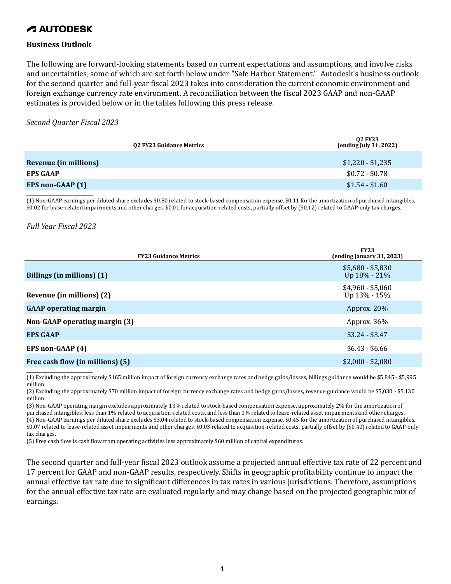#### **Business Outlook**

The following are forward-looking statements based on current expectations and assumptions, and involve risks and uncertainties, some of which are set forth below under "Safe Harbor Statement." Autodesk's business outlook for the second quarter and full-year fiscal 2023 takes into consideration the current economic environment and foreign exchange currency rate environment. A reconciliation between the fiscal 2023 GAAP and non-GAAP estimates is provided below or in the tables following this press release.

#### *Second Quarter Fiscal 2023*

| 02 FY23 Guidance Metrics | <b>02 FY23</b><br>(ending July 31, 2022) |
|--------------------------|------------------------------------------|
| Revenue (in millions)    | $$1,220 - $1,235$                        |
| <b>EPS GAAP</b>          | $$0.72 - $0.78$                          |
| EPS non-GAAP (1)         | $$1.54 - $1.60$                          |
|                          |                                          |

(1) Non-GAAP earnings per diluted share excludes \$0.80 related to stock-based compensation expense, \$0.11 for the amortization of purchased intangibles, \$0.02 for lease-related impairments and other charges, \$0.01 for acquisition-related costs, partially offset by (\$0.12) related to GAAP-only tax charges.

#### *Full Year Fiscal 2023*

| <b>FY23 Guidance Metrics</b>     | <b>FY23</b><br>(ending January 31, 2023) |
|----------------------------------|------------------------------------------|
| Billings (in millions) (1)       | $$5,680 - $5,830$<br>Up 18% - 21%        |
| Revenue (in millions) (2)        | $$4,960 - $5,060$<br>Up 13% - 15%        |
| <b>GAAP</b> operating margin     | Approx. 20%                              |
| Non-GAAP operating margin (3)    | Approx. 36%                              |
| <b>EPS GAAP</b>                  | $$3.24 - $3.47$                          |
| EPS non-GAAP (4)                 | $$6.43 - $6.66$                          |
| Free cash flow (in millions) (5) | $$2,000 - $2,080$                        |

\_\_\_\_\_\_\_\_\_\_\_\_\_\_\_\_\_\_\_\_ (1) Excluding the approximately \$165 million impact of foreign currency exchange rates and hedge gains/losses, billings guidance would be \$5,845 - \$5,995 million.

(2) Excluding the approximately \$70 million impact of foreign currency exchange rates and hedge gains/losses, revenue guidance would be \$5,030 - \$5,130 million.

(3) Non-GAAP operating margin excludes approximately 13% related to stock-based compensation expense, approximately 2% for the amortization of purchased intangibles, less than 1% related to acquisition-related costs, and less than 1% related to lease-related asset impairments and other charges. (4) Non-GAAP earnings per diluted share excludes \$3.04 related to stock-based compensation expense, \$0.45 for the amortization of purchased intangibles, \$0.07 related to lease-related asset impairments and other charges. \$0.03 related to acquisition-related costs, partially offset by (\$0.40) related to GAAP-only tax charges.

(5) Free cash flow is cash flow from operating activities less approximately \$60 million of capital expenditures.

The second quarter and full-year fiscal 2023 outlook assume a projected annual effective tax rate of 22 percent and 17 percent for GAAP and non-GAAP results, respectively. Shifts in geographic profitability continue to impact the annual effective tax rate due to significant differences in tax rates in various jurisdictions. Therefore, assumptions for the annual effective tax rate are evaluated regularly and may change based on the projected geographic mix of earnings.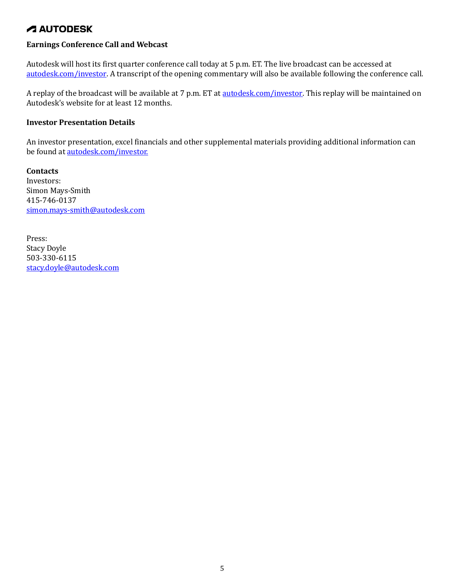### **Earnings Conference Call and Webcast**

Autodesk will host its first quarter conference call today at 5 p.m. ET. The live broadcast can be accessed at autodesk.com/investor. A transcript of the opening commentary will also be available following the conference call.

A replay of the broadcast will be available at 7 p.m. ET at **autodesk.com/investor**. This replay will be maintained on Autodesk's website for at least 12 months.

#### **Investor Presentation Details**

An investor presentation, excel financials and other supplemental materials providing additional information can be found at autodesk.com/investor.

**Contacts** Investors: Simon Mays-Smith 415-746-0137 simon.mays-smith@autodesk.com

Press: Stacy Doyle 503-330-6115 stacy.doyle@autodesk.com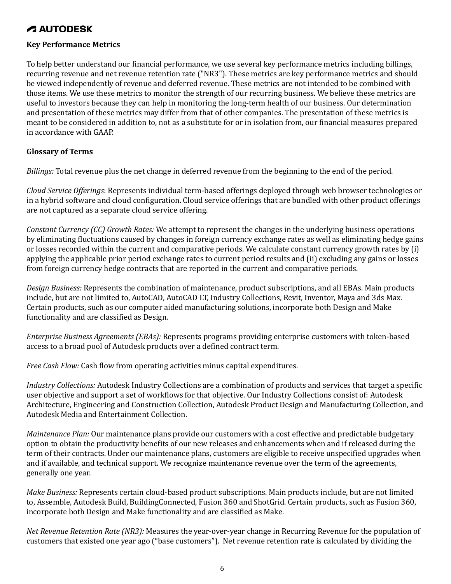#### **Key Performance Metrics**

To help better understand our financial performance, we use several key performance metrics including billings, recurring revenue and net revenue retention rate ("NR3"). These metrics are key performance metrics and should be viewed independently of revenue and deferred revenue. These metrics are not intended to be combined with those items. We use these metrics to monitor the strength of our recurring business. We believe these metrics are useful to investors because they can help in monitoring the long-term health of our business. Our determination and presentation of these metrics may differ from that of other companies. The presentation of these metrics is meant to be considered in addition to, not as a substitute for or in isolation from, our financial measures prepared in accordance with GAAP.

#### **Glossary of Terms**

*Billings:* Total revenue plus the net change in deferred revenue from the beginning to the end of the period.

*Cloud Service Offerings*: Represents individual term-based offerings deployed through web browser technologies or in a hybrid software and cloud configuration. Cloud service offerings that are bundled with other product offerings are not captured as a separate cloud service offering.

*Constant Currency (CC) Growth Rates:* We attempt to represent the changes in the underlying business operations by eliminating fluctuations caused by changes in foreign currency exchange rates as well as eliminating hedge gains or losses recorded within the current and comparative periods. We calculate constant currency growth rates by (i) applying the applicable prior period exchange rates to current period results and (ii) excluding any gains or losses from foreign currency hedge contracts that are reported in the current and comparative periods.

*Design Business:* Represents the combination of maintenance, product subscriptions, and all EBAs. Main products include, but are not limited to, AutoCAD, AutoCAD LT, Industry Collections, Revit, Inventor, Maya and 3ds Max. Certain products, such as our computer aided manufacturing solutions, incorporate both Design and Make functionality and are classified as Design.

*Enterprise Business Agreements (EBAs):* Represents programs providing enterprise customers with token-based access to a broad pool of Autodesk products over a defined contract term.

*Free Cash Flow:* Cash flow from operating activities minus capital expenditures.

*Industry Collections:* Autodesk Industry Collections are a combination of products and services that target a specific user objective and support a set of workflows for that objective. Our Industry Collections consist of: Autodesk Architecture, Engineering and Construction Collection, Autodesk Product Design and Manufacturing Collection, and Autodesk Media and Entertainment Collection.

*Maintenance Plan:* Our maintenance plans provide our customers with a cost effective and predictable budgetary option to obtain the productivity benefits of our new releases and enhancements when and if released during the term of their contracts. Under our maintenance plans, customers are eligible to receive unspecified upgrades when and if available, and technical support. We recognize maintenance revenue over the term of the agreements, generally one year.

*Make Business:* Represents certain cloud-based product subscriptions. Main products include, but are not limited to, Assemble, Autodesk Build, BuildingConnected, Fusion 360 and ShotGrid. Certain products, such as Fusion 360, incorporate both Design and Make functionality and are classified as Make.

*Net Revenue Retention Rate (NR3):* Measures the year-over-year change in Recurring Revenue for the population of customers that existed one year ago ("base customers"). Net revenue retention rate is calculated by dividing the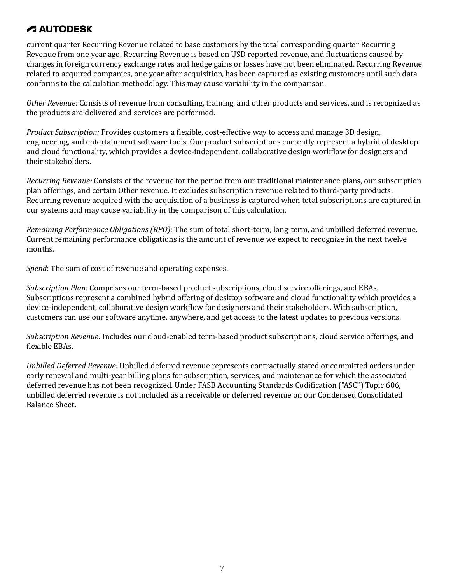current quarter Recurring Revenue related to base customers by the total corresponding quarter Recurring Revenue from one year ago. Recurring Revenue is based on USD reported revenue, and fluctuations caused by changes in foreign currency exchange rates and hedge gains or losses have not been eliminated. Recurring Revenue related to acquired companies, one year after acquisition, has been captured as existing customers until such data conforms to the calculation methodology. This may cause variability in the comparison.

*Other Revenue:* Consists of revenue from consulting, training, and other products and services, and is recognized as the products are delivered and services are performed.

*Product Subscription:* Provides customers a flexible, cost-effective way to access and manage 3D design, engineering, and entertainment software tools. Our product subscriptions currently represent a hybrid of desktop and cloud functionality, which provides a device-independent, collaborative design workflow for designers and their stakeholders.

*Recurring Revenue:* Consists of the revenue for the period from our traditional maintenance plans, our subscription plan offerings, and certain Other revenue. It excludes subscription revenue related to third-party products. Recurring revenue acquired with the acquisition of a business is captured when total subscriptions are captured in our systems and may cause variability in the comparison of this calculation.

*Remaining Performance Obligations (RPO):* The sum of total short-term, long-term, and unbilled deferred revenue. Current remaining performance obligations is the amount of revenue we expect to recognize in the next twelve months.

*Spend*: The sum of cost of revenue and operating expenses.

*Subscription Plan:* Comprises our term-based product subscriptions, cloud service offerings, and EBAs. Subscriptions represent a combined hybrid offering of desktop software and cloud functionality which provides a device-independent, collaborative design workflow for designers and their stakeholders. With subscription, customers can use our software anytime, anywhere, and get access to the latest updates to previous versions.

*Subscription Revenue:* Includes our cloud-enabled term-based product subscriptions, cloud service offerings, and flexible EBAs.

*Unbilled Deferred Revenue:* Unbilled deferred revenue represents contractually stated or committed orders under early renewal and multi-year billing plans for subscription, services, and maintenance for which the associated deferred revenue has not been recognized. Under FASB Accounting Standards Codification ("ASC") Topic 606, unbilled deferred revenue is not included as a receivable or deferred revenue on our Condensed Consolidated Balance Sheet.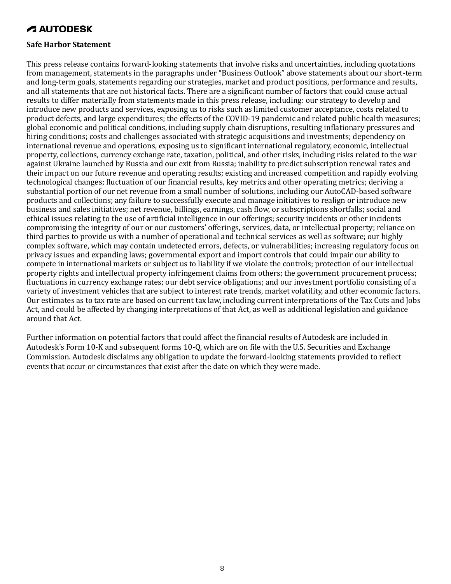#### **Safe Harbor Statement**

This press release contains forward-looking statements that involve risks and uncertainties, including quotations from management, statements in the paragraphs under "Business Outlook" above statements about our short-term and long-term goals, statements regarding our strategies, market and product positions, performance and results, and all statements that are not historical facts. There are a significant number of factors that could cause actual results to differ materially from statements made in this press release, including: our strategy to develop and introduce new products and services, exposing us to risks such as limited customer acceptance, costs related to product defects, and large expenditures; the effects of the COVID-19 pandemic and related public health measures; global economic and political conditions, including supply chain disruptions, resulting inflationary pressures and hiring conditions; costs and challenges associated with strategic acquisitions and investments; dependency on international revenue and operations, exposing us to significant international regulatory, economic, intellectual property, collections, currency exchange rate, taxation, political, and other risks, including risks related to the war against Ukraine launched by Russia and our exit from Russia; inability to predict subscription renewal rates and their impact on our future revenue and operating results; existing and increased competition and rapidly evolving technological changes; fluctuation of our financial results, key metrics and other operating metrics; deriving a substantial portion of our net revenue from a small number of solutions, including our AutoCAD-based software products and collections; any failure to successfully execute and manage initiatives to realign or introduce new business and sales initiatives; net revenue, billings, earnings, cash flow, or subscriptions shortfalls; social and ethical issues relating to the use of artificial intelligence in our offerings; security incidents or other incidents compromising the integrity of our or our customers' offerings, services, data, or intellectual property; reliance on third parties to provide us with a number of operational and technical services as well as software; our highly complex software, which may contain undetected errors, defects, or vulnerabilities; increasing regulatory focus on privacy issues and expanding laws; governmental export and import controls that could impair our ability to compete in international markets or subject us to liability if we violate the controls; protection of our intellectual property rights and intellectual property infringement claims from others; the government procurement process; fluctuations in currency exchange rates; our debt service obligations; and our investment portfolio consisting of a variety of investment vehicles that are subject to interest rate trends, market volatility, and other economic factors. Our estimates as to tax rate are based on current tax law, including current interpretations of the Tax Cuts and Jobs Act, and could be affected by changing interpretations of that Act, as well as additional legislation and guidance around that Act.

Further information on potential factors that could affect the financial results of Autodesk are included in Autodesk's Form 10-K and subsequent forms 10-Q, which are on file with the U.S. Securities and Exchange Commission. Autodesk disclaims any obligation to update the forward-looking statements provided to reflect events that occur or circumstances that exist after the date on which they were made.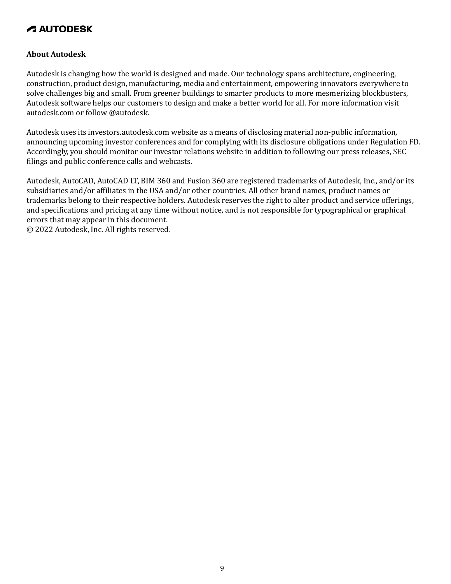### **About Autodesk**

Autodesk is changing how the world is designed and made. Our technology spans architecture, engineering, construction, product design, manufacturing, media and entertainment, empowering innovators everywhere to solve challenges big and small. From greener buildings to smarter products to more mesmerizing blockbusters, Autodesk software helps our customers to design and make a better world for all. For more information visit autodesk.com or follow @autodesk.

Autodesk uses its investors.autodesk.com website as a means of disclosing material non-public information, announcing upcoming investor conferences and for complying with its disclosure obligations under Regulation FD. Accordingly, you should monitor our investor relations website in addition to following our press releases, SEC filings and public conference calls and webcasts.

Autodesk, AutoCAD, AutoCAD LT, BIM 360 and Fusion 360 are registered trademarks of Autodesk, Inc., and/or its subsidiaries and/or affiliates in the USA and/or other countries. All other brand names, product names or trademarks belong to their respective holders. Autodesk reserves the right to alter product and service offerings, and specifications and pricing at any time without notice, and is not responsible for typographical or graphical errors that may appear in this document. © 2022 Autodesk, Inc. All rights reserved.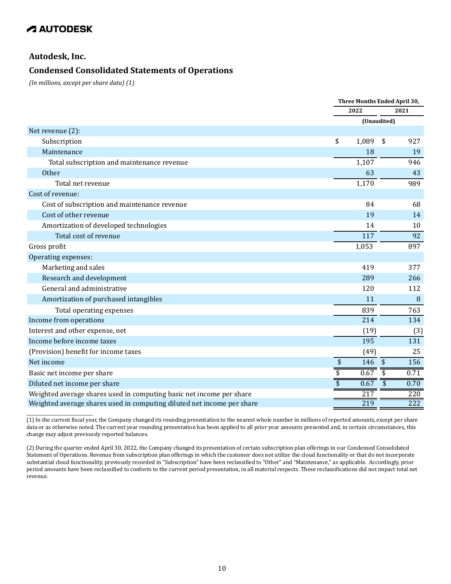### **Autodesk, Inc.**

\_\_\_\_\_\_\_\_\_\_\_\_\_\_\_\_\_\_\_\_

### **Condensed Consolidated Statements of Operations**

*(In millions, except per share data) (1)*

|                                                                        |                                      | Three Months Ended April 30, |                                 |  |
|------------------------------------------------------------------------|--------------------------------------|------------------------------|---------------------------------|--|
|                                                                        |                                      | 2022                         | 2021                            |  |
|                                                                        |                                      |                              | (Unaudited)                     |  |
| Net revenue (2):                                                       |                                      |                              |                                 |  |
| Subscription                                                           | \$                                   | 1,089                        | \$<br>927                       |  |
| Maintenance                                                            |                                      | 18                           | 19                              |  |
| Total subscription and maintenance revenue                             |                                      | 1,107                        | 946                             |  |
| Other                                                                  |                                      | 63                           | 43                              |  |
| Total net revenue                                                      |                                      | 1,170                        | 989                             |  |
| Cost of revenue:                                                       |                                      |                              |                                 |  |
| Cost of subscription and maintenance revenue                           |                                      | 84                           | 68                              |  |
| Cost of other revenue                                                  |                                      | 19                           | 14                              |  |
| Amortization of developed technologies                                 |                                      | 14                           | 10                              |  |
| Total cost of revenue                                                  |                                      | 117                          | 92                              |  |
| Gross profit                                                           |                                      | 1,053                        | 897                             |  |
| Operating expenses:                                                    |                                      |                              |                                 |  |
| Marketing and sales                                                    |                                      | 419                          | 377                             |  |
| Research and development                                               |                                      | 289                          | 266                             |  |
| General and administrative                                             |                                      | 120                          | 112                             |  |
| Amortization of purchased intangibles                                  |                                      | 11                           | 8                               |  |
| Total operating expenses                                               |                                      | 839                          | 763                             |  |
| Income from operations                                                 |                                      | 214                          | 134                             |  |
| Interest and other expense, net                                        |                                      | (19)                         | (3)                             |  |
| Income before income taxes                                             |                                      | 195                          | 131                             |  |
| (Provision) benefit for income taxes                                   |                                      | (49)                         | 25                              |  |
| Net income                                                             | $\pmb{\$}$                           | 146 \$                       | 156                             |  |
| Basic net income per share                                             | $\overline{\boldsymbol{\mathsf{S}}}$ | 0.67                         | \$<br>0.71                      |  |
| Diluted net income per share                                           | $\overline{\$}$                      | 0.67                         | $\overline{\mathbf{S}}$<br>0.70 |  |
| Weighted average shares used in computing basic net income per share   |                                      | 217                          | 220                             |  |
| Weighted average shares used in computing diluted net income per share |                                      | 219                          | 222                             |  |

(1) In the current fiscal year, the Company changed its rounding presentation to the nearest whole number in millions of reported amounts, except per share data or as otherwise noted. The current year rounding presentation has been applied to all prior year amounts presented and, in certain circumstances, this change may adjust previously reported balances.

<sup>(2)</sup> During the quarter ended April 30, 2022, the Company changed its presentation of certain subscription plan offerings in our Condensed Consolidated Statement of Operations. Revenue from subscription plan offerings in which the customer does not utilize the cloud functionality or that do not incorporate substantial cloud functionality, previously recorded in "Subscription" have been reclassified to "Other" and "Maintenance," as applicable. Accordingly, prior period amounts have been reclassified to conform to the current period presentation, in all material respects. These reclassifications did not impact total net revenue.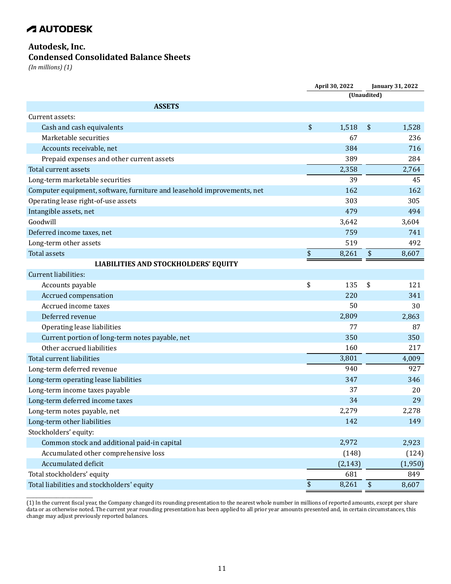### **Autodesk, Inc.**

\_\_\_\_\_\_\_\_\_\_\_\_\_\_\_\_\_\_\_\_

### **Condensed Consolidated Balance Sheets**

*(In millions) (1)*

|                                                                         |               | April 30, 2022<br><b>January 31, 2022</b> |                         |         |
|-------------------------------------------------------------------------|---------------|-------------------------------------------|-------------------------|---------|
|                                                                         |               |                                           | (Unaudited)             |         |
| <b>ASSETS</b>                                                           |               |                                           |                         |         |
| Current assets:                                                         |               |                                           |                         |         |
| Cash and cash equivalents                                               | \$            | 1,518                                     | \$                      | 1,528   |
| Marketable securities                                                   |               | 67                                        |                         | 236     |
| Accounts receivable, net                                                |               | 384                                       |                         | 716     |
| Prepaid expenses and other current assets                               |               | 389                                       |                         | 284     |
| Total current assets                                                    |               | 2,358                                     |                         | 2,764   |
| Long-term marketable securities                                         |               | 39                                        |                         | 45      |
| Computer equipment, software, furniture and leasehold improvements, net |               | 162                                       |                         | 162     |
| Operating lease right-of-use assets                                     |               | 303                                       |                         | 305     |
| Intangible assets, net                                                  |               | 479                                       |                         | 494     |
| Goodwill                                                                |               | 3,642                                     |                         | 3,604   |
| Deferred income taxes, net                                              |               | 759                                       |                         | 741     |
| Long-term other assets                                                  |               | 519                                       |                         | 492     |
| <b>Total assets</b>                                                     | \$            | 8,261                                     | $\sqrt[6]{}$            | 8,607   |
| <b>LIABILITIES AND STOCKHOLDERS' EQUITY</b>                             |               |                                           |                         |         |
| Current liabilities:                                                    |               |                                           |                         |         |
| Accounts payable                                                        | \$            | 135                                       | \$                      | 121     |
| Accrued compensation                                                    |               | 220                                       |                         | 341     |
| Accrued income taxes                                                    |               | 50                                        |                         | 30      |
| Deferred revenue                                                        |               | 2,809                                     |                         | 2,863   |
| Operating lease liabilities                                             |               | 77                                        |                         | 87      |
| Current portion of long-term notes payable, net                         |               | 350                                       |                         | 350     |
| Other accrued liabilities                                               |               | 160                                       |                         | 217     |
| Total current liabilities                                               |               | 3,801                                     |                         | 4,009   |
| Long-term deferred revenue                                              |               | 940                                       |                         | 927     |
| Long-term operating lease liabilities                                   |               | 347                                       |                         | 346     |
| Long-term income taxes payable                                          |               | 37                                        |                         | 20      |
| Long-term deferred income taxes                                         |               | 34                                        |                         | 29      |
| Long-term notes payable, net                                            |               | 2,279                                     |                         | 2,278   |
| Long-term other liabilities                                             |               | 142                                       |                         | 149     |
| Stockholders' equity:                                                   |               |                                           |                         |         |
| Common stock and additional paid-in capital                             |               | 2,972                                     |                         | 2,923   |
| Accumulated other comprehensive loss                                    |               | (148)                                     |                         | (124)   |
| Accumulated deficit                                                     |               | (2, 143)                                  |                         | (1,950) |
| Total stockholders' equity                                              |               | 681                                       |                         | 849     |
| Total liabilities and stockholders' equity                              | $\frac{1}{2}$ | 8,261                                     | $\sqrt[6]{\frac{1}{2}}$ | 8,607   |

<sup>(1)</sup> In the current fiscal year, the Company changed its rounding presentation to the nearest whole number in millions of reported amounts, except per share data or as otherwise noted. The current year rounding presentation has been applied to all prior year amounts presented and, in certain circumstances, this change may adjust previously reported balances.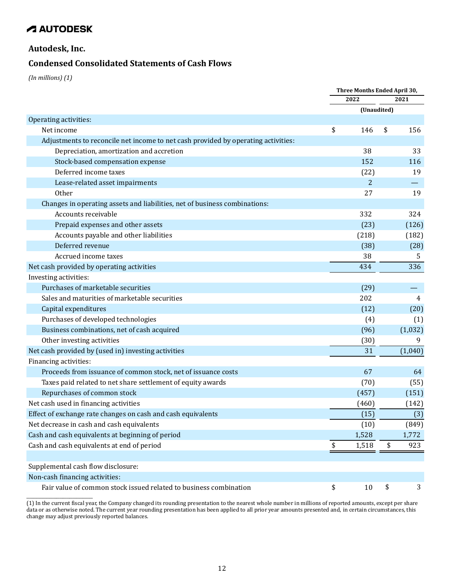### **Autodesk, Inc.**

### **Condensed Consolidated Statements of Cash Flows**

*(In millions) (1)*

|                                                                                   | Three Months Ended April 30, |             |      |         |  |
|-----------------------------------------------------------------------------------|------------------------------|-------------|------|---------|--|
|                                                                                   |                              | 2022        | 2021 |         |  |
|                                                                                   |                              | (Unaudited) |      |         |  |
| Operating activities:                                                             |                              |             |      |         |  |
| Net income                                                                        | \$                           | 146         | \$   | 156     |  |
| Adjustments to reconcile net income to net cash provided by operating activities: |                              |             |      |         |  |
| Depreciation, amortization and accretion                                          |                              | 38          |      | 33      |  |
| Stock-based compensation expense                                                  |                              | 152         |      | 116     |  |
| Deferred income taxes                                                             |                              | (22)        |      | 19      |  |
| Lease-related asset impairments                                                   |                              | 2           |      |         |  |
| Other                                                                             |                              | 27          |      | 19      |  |
| Changes in operating assets and liabilities, net of business combinations:        |                              |             |      |         |  |
| Accounts receivable                                                               |                              | 332         |      | 324     |  |
| Prepaid expenses and other assets                                                 |                              | (23)        |      | (126)   |  |
| Accounts payable and other liabilities                                            |                              | (218)       |      | (182)   |  |
| Deferred revenue                                                                  |                              | (38)        |      | (28)    |  |
| Accrued income taxes                                                              |                              | 38          |      | 5.      |  |
| Net cash provided by operating activities                                         |                              | 434         |      | 336     |  |
| Investing activities:                                                             |                              |             |      |         |  |
| Purchases of marketable securities                                                |                              | (29)        |      |         |  |
| Sales and maturities of marketable securities                                     |                              | 202         |      | 4       |  |
| Capital expenditures                                                              |                              | (12)        |      | (20)    |  |
| Purchases of developed technologies                                               |                              | (4)         |      | (1)     |  |
| Business combinations, net of cash acquired                                       |                              | (96)        |      | (1,032) |  |
| Other investing activities                                                        |                              | (30)        |      | 9       |  |
| Net cash provided by (used in) investing activities                               |                              | 31          |      | (1,040) |  |
| Financing activities:                                                             |                              |             |      |         |  |
| Proceeds from issuance of common stock, net of issuance costs                     |                              | 67          |      | 64      |  |
| Taxes paid related to net share settlement of equity awards                       |                              | (70)        |      | (55)    |  |
| Repurchases of common stock                                                       |                              | (457)       |      | (151)   |  |
| Net cash used in financing activities                                             |                              | (460)       |      | (142)   |  |
| Effect of exchange rate changes on cash and cash equivalents                      |                              | (15)        |      | (3)     |  |
| Net decrease in cash and cash equivalents                                         |                              | (10)        |      | (849)   |  |
| Cash and cash equivalents at beginning of period                                  |                              | 1,528       |      | 1,772   |  |
| Cash and cash equivalents at end of period                                        | \$                           | 1,518       | \$   | 923     |  |
|                                                                                   |                              |             |      |         |  |
| Supplemental cash flow disclosure:                                                |                              |             |      |         |  |
| Non-cash financing activities:                                                    |                              |             |      |         |  |
| Fair value of common stock issued related to business combination                 | \$                           | 10          | \$   | 3       |  |
|                                                                                   |                              |             |      |         |  |

(1) In the current fiscal year, the Company changed its rounding presentation to the nearest whole number in millions of reported amounts, except per share data or as otherwise noted. The current year rounding presentation has been applied to all prior year amounts presented and, in certain circumstances, this change may adjust previously reported balances.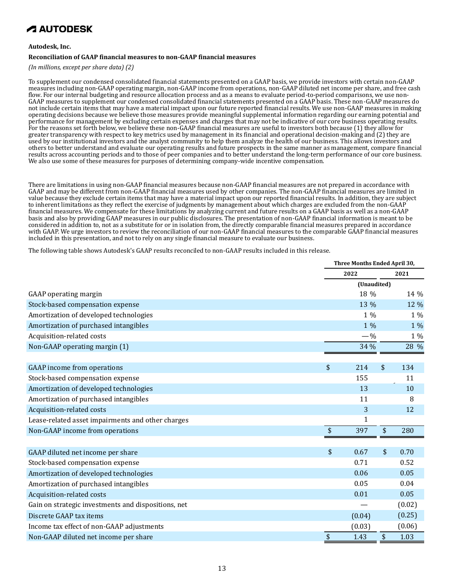#### **Autodesk, Inc.**

#### **Reconciliation of GAAP financial measures to non-GAAP financial measures**

*(In millions, except per share data) (2)*

To supplement our condensed consolidated financial statements presented on a GAAP basis, we provide investors with certain non-GAAP measures including non-GAAP operating margin, non-GAAP income from operations, non-GAAP diluted net income per share, and free cash flow. For our internal budgeting and resource allocation process and as a means to evaluate period-to-period comparisons, we use non-GAAP measures to supplement our condensed consolidated financial statements presented on a GAAP basis. These non-GAAP measures do not include certain items that may have a material impact upon our future reported financial results. We use non-GAAP measures in making operating decisions because we believe those measures provide meaningful supplemental information regarding our earning potential and performance for management by excluding certain expenses and charges that may not be indicative of our core business operating results. For the reasons set forth below, we believe these non-GAAP financial measures are useful to investors both because (1) they allow for greater transparency with respect to key metrics used by management in its financial and operational decision-making and (2) they are used by our institutional investors and the analyst community to help them analyze the health of our business. This allows investors and others to better understand and evaluate our operating results and future prospects in the same manner as management, compare financial results across accounting periods and to those of peer companies and to better understand the long-term performance of our core business. We also use some of these measures for purposes of determining company-wide incentive compensation.

There are limitations in using non-GAAP financial measures because non-GAAP financial measures are not prepared in accordance with GAAP and may be different from non-GAAP financial measures used by other companies. The non-GAAP financial measures are limited in value because they exclude certain items that may have a material impact upon our reported financial results. In addition, they are subject to inherent limitations as they reflect the exercise of judgments by management about which charges are excluded from the non-GAAP financial measures. We compensate for these limitations by analyzing current and future results on a GAAP basis as well as a non-GAAP basis and also by providing GAAP measures in our public disclosures. The presentation of non-GAAP financial information is meant to be considered in addition to, not as a substitute for or in isolation from, the directly comparable financial measures prepared in accordance with GAAP. We urge investors to review the reconciliation of our non-GAAP financial measures to the comparable GAAP financial measures included in this presentation, and not to rely on any single financial measure to evaluate our business.

The following table shows Autodesk's GAAP results reconciled to non-GAAP results included in this release.

|                                                     | Three Months Ended April 30, |             |    |        |  |
|-----------------------------------------------------|------------------------------|-------------|----|--------|--|
|                                                     |                              | 2022        |    | 2021   |  |
|                                                     |                              | (Unaudited) |    |        |  |
| <b>GAAP</b> operating margin                        |                              | 18 %        |    | 14 %   |  |
| Stock-based compensation expense                    |                              | 13 %        |    | 12 %   |  |
| Amortization of developed technologies              |                              | $1\%$       |    | 1 %    |  |
| Amortization of purchased intangibles               |                              | 1 %         |    | 1 %    |  |
| Acquisition-related costs                           |                              | $-$ %       |    | 1 %    |  |
| Non-GAAP operating margin (1)                       |                              | 34 %        |    | 28 %   |  |
|                                                     |                              |             |    |        |  |
| <b>GAAP</b> income from operations                  | \$                           | 214         | \$ | 134    |  |
| Stock-based compensation expense                    |                              | 155         |    | 11     |  |
| Amortization of developed technologies              |                              | 13          |    | 10     |  |
| Amortization of purchased intangibles               |                              | 11          |    | 8      |  |
| Acquisition-related costs                           |                              | 3           |    | 12     |  |
| Lease-related asset impairments and other charges   |                              | 1           |    |        |  |
| Non-GAAP income from operations                     | \$                           | 397         | \$ | 280    |  |
|                                                     |                              |             |    |        |  |
| GAAP diluted net income per share                   | \$                           | 0.67        | \$ | 0.70   |  |
| Stock-based compensation expense                    |                              | 0.71        |    | 0.52   |  |
| Amortization of developed technologies              |                              | 0.06        |    | 0.05   |  |
| Amortization of purchased intangibles               |                              | 0.05        |    | 0.04   |  |
| Acquisition-related costs                           |                              | 0.01        |    | 0.05   |  |
| Gain on strategic investments and dispositions, net |                              |             |    | (0.02) |  |
| Discrete GAAP tax items                             |                              | (0.04)      |    | (0.25) |  |
| Income tax effect of non-GAAP adjustments           |                              | (0.03)      |    | (0.06) |  |
| Non-GAAP diluted net income per share               | \$                           | 1.43        | \$ | 1.03   |  |